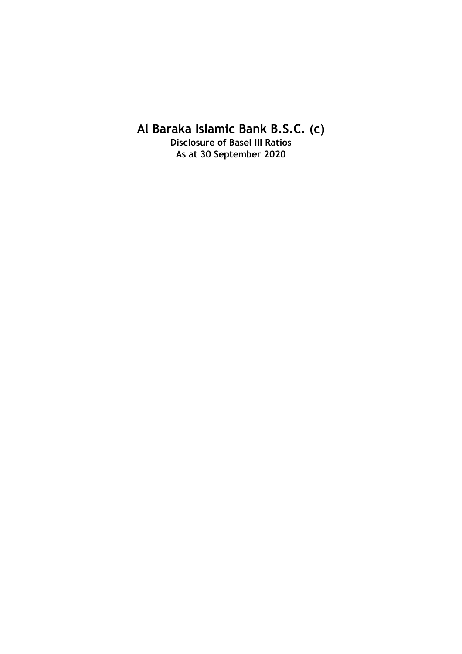**Al Baraka Islamic Bank B.S.C. (c)**

**Disclosure of Basel III Ratios As at 30 September 2020**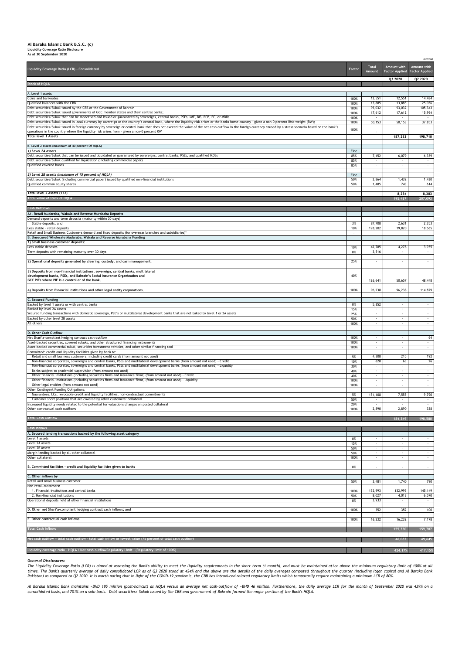## **Al Baraka Islamic Bank B.S.C. (c) Liquidity Coverage Ratio Disclosure As at 30 September 2020**

*BHD'000*

| Liquidity Coverage Ratio (LCR) - Consolidated                                                                                                                                                                                                                                                                                                                                                                  | Factor       | <b>Total</b><br>Amount   | Amount with<br><b>Factor Applied Factor Applied</b> | <b>Amount</b> with<br>Q2 2020 |
|----------------------------------------------------------------------------------------------------------------------------------------------------------------------------------------------------------------------------------------------------------------------------------------------------------------------------------------------------------------------------------------------------------------|--------------|--------------------------|-----------------------------------------------------|-------------------------------|
| <b>Stock of HQLA</b>                                                                                                                                                                                                                                                                                                                                                                                           |              |                          | Q3 2020                                             |                               |
| A. Level 1 assets:                                                                                                                                                                                                                                                                                                                                                                                             |              |                          |                                                     |                               |
| Coins and banknotes<br>Qualified balances with the CBB                                                                                                                                                                                                                                                                                                                                                         | 100%<br>100% | 12,551<br>13,885         | 12,551<br>13,885                                    | 14,484<br>25,036              |
| Debt securities/Sukuk issued by the CBB or the Government of Bahrain                                                                                                                                                                                                                                                                                                                                           | 100%         | 93,032                   | 93,032                                              | 105,343                       |
| Debt securities/Sukuk issued governments of GCC member states and their central banks;<br>Debt securities/Sukuk that can be monetised and issued or guaranteed by sovereigns, central banks, PSEs, IMF, BIS, ECB, EC, or MDBs                                                                                                                                                                                  | 100%<br>100% | 17,612                   | 17,612                                              | 15,994                        |
| Debt securities/Sukuk issued in local currency by sovereign or the country's central bank, where the liquidity risk arises or the banks home country - given a non-0 percent Risk-weight (RW);<br>Debt securities/Sukuk issued in foreign currency by sovereign or central bank that does not exceed the value of the net cash outflow in the foreign currency caused by a stress scenario based on the bank's | 100%         | 50,153                   | 50,153                                              | 37,853                        |
| operations in the country where the liquidity risk arises from - given a non-0 percent RW<br><b>Total level 1 Assets</b>                                                                                                                                                                                                                                                                                       | 100%         | $\sim$                   | 187,233                                             | 198,710                       |
| B. Level 2 assets (maximum of 40 percent Of HQLA)                                                                                                                                                                                                                                                                                                                                                              |              |                          |                                                     |                               |
| 1) Level 2A assets<br>Debt securities/Sukuk that can be issued and liquidated or guaranteed by sovereigns, central banks, PSEs, and qualified MDBs                                                                                                                                                                                                                                                             | Fine<br>85%  | 7,152                    | 6,079                                               | 6,339                         |
| Debt securities/Sukuk qualified for liquidation (including commercial paper)                                                                                                                                                                                                                                                                                                                                   | 85%          | $\sim$                   |                                                     | $\sim$                        |
| Qualified covered bonds                                                                                                                                                                                                                                                                                                                                                                                        | 85%          |                          |                                                     |                               |
| 2) Level 2B assets (maximum of 15 percent of HQLA)<br>Debt securities/Sukuk (including commercial paper) issued by qualified non-financial institutions                                                                                                                                                                                                                                                        | Fine<br>50%  | 2,864                    | 1,432                                               | 1,430                         |
| Qualified common equity shares                                                                                                                                                                                                                                                                                                                                                                                 | 50%          | 1,485                    | 743                                                 | 614                           |
| Total level 2 Assets (1+2)                                                                                                                                                                                                                                                                                                                                                                                     |              |                          | 8,254                                               | 8,383                         |
| <b>Total value of stock of HQLA</b>                                                                                                                                                                                                                                                                                                                                                                            |              |                          | 195,487                                             | 207,093                       |
| <b>Cash Outflows</b>                                                                                                                                                                                                                                                                                                                                                                                           |              |                          |                                                     |                               |
| A1. Retail Mudaraba, Wakala and Reverse Murabaha Deposits<br>Demand deposits and term deposits (maturity within 30 days)                                                                                                                                                                                                                                                                                       |              |                          |                                                     |                               |
| Stable deposits; and                                                                                                                                                                                                                                                                                                                                                                                           | 3%           | 87,708                   | 2,631                                               | 2,353                         |
| Less stable - retail deposits<br>Retail and Small Business Customers demand and fixed deposits (for overseas branches and subsidiaries)*                                                                                                                                                                                                                                                                       | 10%          | 198,202                  | 19,820                                              | 18,565                        |
| B. Unsecured Wholesale Mudaraba, Wakala and Reverse Murabaha Funding<br>1) Small business customer deposits:                                                                                                                                                                                                                                                                                                   |              |                          |                                                     |                               |
| Less stable deposits                                                                                                                                                                                                                                                                                                                                                                                           | 10%          | 42,785                   | 4,278                                               | 3,935                         |
| Term deposits with remaining maturity over 30 days                                                                                                                                                                                                                                                                                                                                                             | 0%           | 3,516                    |                                                     |                               |
| [2] Operational deposits generated by clearing, custody, and cash management:                                                                                                                                                                                                                                                                                                                                  | 25%          | $\sim$                   |                                                     | $\sim$ $-$                    |
| [3) Deposits from non-financial institutions, sovereign, central banks, multilateral<br>development banks, PSEs, and Bahrain's Social Insurance Organization and<br>GCC PIFs where PIF is a controller of the bank.                                                                                                                                                                                            | 40%          | 126,641                  | 50,657                                              | 48,448                        |
| [4] Deposits from Financial Institutions and other legal entity corporations.                                                                                                                                                                                                                                                                                                                                  | 100%         | 96,238                   | 96,238                                              | 114,879                       |
| C. Secured Funding                                                                                                                                                                                                                                                                                                                                                                                             |              |                          |                                                     |                               |
| Backed by level 1 assets or with central banks                                                                                                                                                                                                                                                                                                                                                                 | 0%           | 5,852                    |                                                     | $\sim$                        |
| Backed by level 2A assets<br>Secured funding transactions with domestic sovereign, PSE's or multilateral development banks that are not baked by level 1 or 2A assets                                                                                                                                                                                                                                          | 15%<br>25%   | $\sim$                   |                                                     | $\sim$<br>$\sim$              |
| Backed by other level 2B assets                                                                                                                                                                                                                                                                                                                                                                                | 50%          | $\sim$                   |                                                     | $\sim$                        |
| All others                                                                                                                                                                                                                                                                                                                                                                                                     | 100%         |                          |                                                     |                               |
| D. Other Cash Outflow<br>Net Shari'a-compliant hedging contract cash outflow                                                                                                                                                                                                                                                                                                                                   | 100%         | $\sim$                   |                                                     | 64                            |
| Asset-backed securities, covered sukuks, and other structured financing instruments<br>Asset-backed commercial sukuk, securities investment vehicles, and other similar financing tool                                                                                                                                                                                                                         | 100%<br>100% |                          |                                                     | $\sim$                        |
| Committed: credit and liquidity facilities given by bank to:                                                                                                                                                                                                                                                                                                                                                   |              |                          |                                                     |                               |
| Retail and small business customers, including credit cards (from amount not used)<br>Non-financial corporates, sovereigns and central banks, PSEs and multilateral development banks (from amount not used) - Credit                                                                                                                                                                                          | 5%<br>10%    | 4,308<br>628             | 215<br>63                                           | 192<br>26                     |
| Non-financial corporates, sovereigns and central banks, PSEs and multilateral development banks (from amount not used) - Liquidity                                                                                                                                                                                                                                                                             | 30%          | $\sim$                   |                                                     | $\sim$                        |
| Banks subject to prudential supervision (from amount not used)<br>Other financial institutions (including securities firms and insurance firms) (from amount not used) - Credit                                                                                                                                                                                                                                | 40%<br>40%   |                          |                                                     |                               |
| Other financial institutions (including securities firms and insurance firms) (from amount not used) - Liquidity<br>Other legal entities (from amount not used)                                                                                                                                                                                                                                                | 100%<br>100% | $\sim$                   |                                                     | $\sim$                        |
| <b>Other Contingent Funding Obligations:</b>                                                                                                                                                                                                                                                                                                                                                                   |              |                          |                                                     |                               |
| Guarantees, LCs, revocable credit and liquidity facilities, non-contractual commitments<br>Customer short positions that are covered by other customers' collateral                                                                                                                                                                                                                                            | 5%<br>50%    | 151,108<br>$\sim$        | 7,555                                               | 9,790<br>$\sim$               |
| Increased liquidity needs related to the potential for valuations changes on posted collateral<br>Other contractual cash outflows                                                                                                                                                                                                                                                                              | 20%<br>100%  | 2,890                    | 2,890                                               | 328                           |
| <b>Total Cash Outflow</b>                                                                                                                                                                                                                                                                                                                                                                                      |              |                          |                                                     |                               |
|                                                                                                                                                                                                                                                                                                                                                                                                                |              |                          | 184,349                                             | 198,580                       |
| <b>Cash Inflows</b><br>A. Secured lending transactions backed by the following asset category                                                                                                                                                                                                                                                                                                                  |              |                          |                                                     |                               |
| Level 1 assets                                                                                                                                                                                                                                                                                                                                                                                                 | 0%           | $\sim$                   | $\sim$                                              | $\sim$                        |
| Level 2A assets<br>Level 2B assets                                                                                                                                                                                                                                                                                                                                                                             | 15%<br>50%   | $\sim$                   |                                                     | $\sim$                        |
| Margin lending backed by all other collateral<br>Other collateral                                                                                                                                                                                                                                                                                                                                              | 50%          |                          |                                                     |                               |
|                                                                                                                                                                                                                                                                                                                                                                                                                | 100%         | $\overline{\phantom{a}}$ |                                                     |                               |
| B. Committed facilities - credit and liquidity facilities given to banks                                                                                                                                                                                                                                                                                                                                       | 0%           |                          |                                                     | $\sim$                        |
| C. Other inflows by<br>Retail and small business customer                                                                                                                                                                                                                                                                                                                                                      | 50%          | 3,481                    | 1,740                                               | 790                           |
| Non-retail customers:                                                                                                                                                                                                                                                                                                                                                                                          |              |                          |                                                     |                               |
| 1. Financial institutions and central banks<br>2. Non-financial institutions                                                                                                                                                                                                                                                                                                                                   | 100%<br>50%  | 132,993<br>8,027         | 132,993<br>4,013                                    | 145,149<br>6,570              |
| Operational deposits held at other financial institutions                                                                                                                                                                                                                                                                                                                                                      | 0%           | 3,933                    |                                                     | $\sim$                        |
| D. Other net Shari'a-compliant hedging contract cash inflows; and                                                                                                                                                                                                                                                                                                                                              | 100%         | 352                      | 352                                                 | 100                           |
| E. Other contractual cash inflows                                                                                                                                                                                                                                                                                                                                                                              | 100%         | 16,232                   | 16,232                                              | 7,178                         |
| <b>Total Cash Inflows</b>                                                                                                                                                                                                                                                                                                                                                                                      |              |                          |                                                     |                               |
|                                                                                                                                                                                                                                                                                                                                                                                                                |              |                          | 155,330                                             | 159,787                       |
| Net cash outflow = total cash outflow - total cash inflow or lowest value (75 percent of total cash outflow)                                                                                                                                                                                                                                                                                                   |              |                          | 46,087                                              | 49,645                        |

The Liquidity Coverage Ratio (LCR) is aimed at assessing the Bank's ability to meet the liquidity requirements in the short term (1 month), and must be maintained at/or above the minimum regulatory limit of 100% at all times. The Bank's quarterly average of daily consolidated LCR as of Q3 2020 stood at 424% and the above are the details of the daily averages computed throughout the quarter (including Itqan capital and Al Baraka Bank *Pakistan) as compared to Q2 2020. It is worth noting that in light of the COVID-19 pandemic, the CBB has introduced relaxed regulatory limits which temporarily require maintaining a minimum LCR of 80%.*

Al Baraka Islamic Bank maintains ~BHD 195 million (post-haircut) as HQLA versus an average net cash-outflow of ~BHD 46 million. Furthermore, the daily average LCR for the month of September 2020 was 439% on a *consolidated basis, and 701% on a solo basis. Debt securities/ Sukuk issued by the CBB and government of Bahrain formed the major portion of the Bank's HQLA.*

## *General Disclosures:*